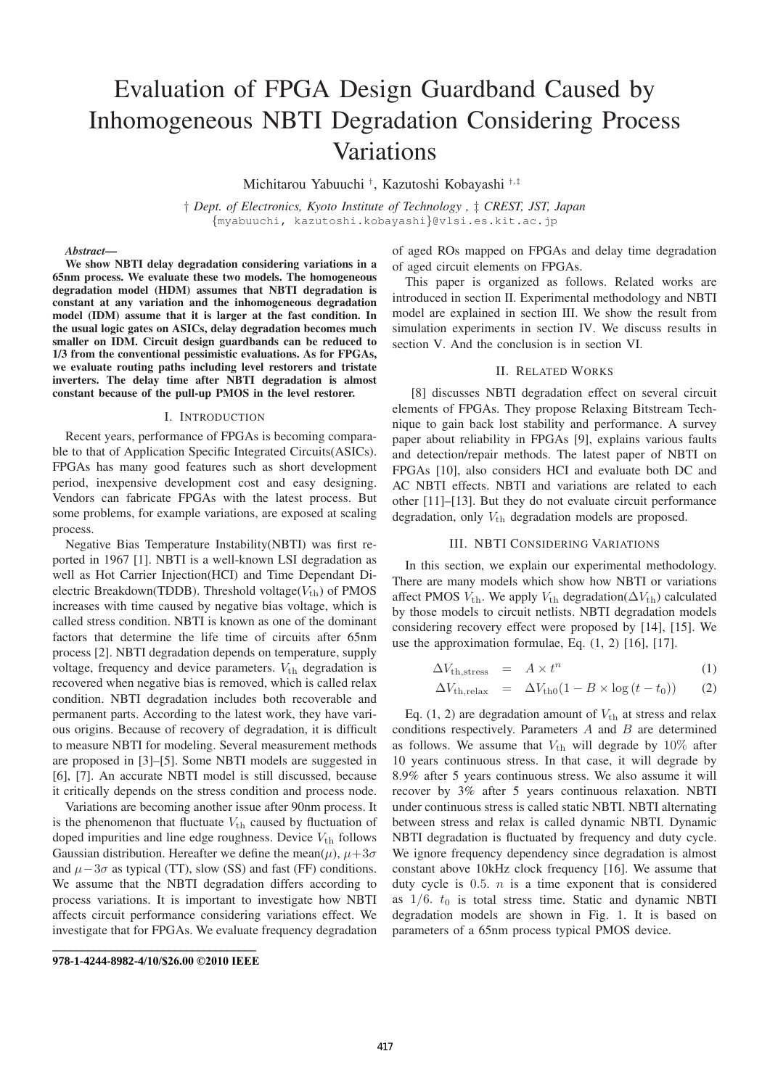# Evaluation of FPGA Design Guardband Caused by Inhomogeneous NBTI Degradation Considering Process Variations

Michitarou Yabuuchi †, Kazutoshi Kobayashi †,‡

† *Dept. of Electronics, Kyoto Institute of Technology ,* ‡ *CREST, JST, Japan* {myabuuchi, kazutoshi.kobayashi}@vlsi.es.kit.ac.jp

#### *Abstract*—

We show NBTI delay degradation considering variations in a 65nm process. We evaluate these two models. The homogeneous degradation model (HDM) assumes that NBTI degradation is constant at any variation and the inhomogeneous degradation model (IDM) assume that it is larger at the fast condition. In the usual logic gates on ASICs, delay degradation becomes much smaller on IDM. Circuit design guardbands can be reduced to 1/3 from the conventional pessimistic evaluations. As for FPGAs, we evaluate routing paths including level restorers and tristate inverters. The delay time after NBTI degradation is almost constant because of the pull-up PMOS in the level restorer.

## I. INTRODUCTION

Recent years, performance of FPGAs is becoming comparable to that of Application Specific Integrated Circuits(ASICs). FPGAs has many good features such as short development period, inexpensive development cost and easy designing. Vendors can fabricate FPGAs with the latest process. But some problems, for example variations, are exposed at scaling process.

Negative Bias Temperature Instability(NBTI) was first reported in 1967 [1]. NBTI is a well-known LSI degradation as well as Hot Carrier Injection(HCI) and Time Dependant Dielectric Breakdown(TDDB). Threshold voltage( $V_{\text{th}}$ ) of PMOS increases with time caused by negative bias voltage, which is called stress condition. NBTI is known as one of the dominant factors that determine the life time of circuits after 65nm process [2]. NBTI degradation depends on temperature, supply voltage, frequency and device parameters.  $V_{\text{th}}$  degradation is recovered when negative bias is removed, which is called relax condition. NBTI degradation includes both recoverable and permanent parts. According to the latest work, they have various origins. Because of recovery of degradation, it is difficult to measure NBTI for modeling. Several measurement methods are proposed in [3]–[5]. Some NBTI models are suggested in [6], [7]. An accurate NBTI model is still discussed, because it critically depends on the stress condition and process node.

Variations are becoming another issue after 90nm process. It is the phenomenon that fluctuate  $V_{\text{th}}$  caused by fluctuation of doped impurities and line edge roughness. Device  $V_{\text{th}}$  follows Gaussian distribution. Hereafter we define the mean $(\mu)$ ,  $\mu+3\sigma$ and  $\mu-3\sigma$  as typical (TT), slow (SS) and fast (FF) conditions. We assume that the NBTI degradation differs according to process variations. It is important to investigate how NBTI affects circuit performance considering variations effect. We investigate that for FPGAs. We evaluate frequency degradation

of aged ROs mapped on FPGAs and delay time degradation of aged circuit elements on FPGAs.

This paper is organized as follows. Related works are introduced in section II. Experimental methodology and NBTI model are explained in section III. We show the result from simulation experiments in section IV. We discuss results in section V. And the conclusion is in section VI.

#### II. RELATED WORKS

[8] discusses NBTI degradation effect on several circuit elements of FPGAs. They propose Relaxing Bitstream Technique to gain back lost stability and performance. A survey paper about reliability in FPGAs [9], explains various faults and detection/repair methods. The latest paper of NBTI on FPGAs [10], also considers HCI and evaluate both DC and AC NBTI effects. NBTI and variations are related to each other [11]–[13]. But they do not evaluate circuit performance degradation, only  $V_{\text{th}}$  degradation models are proposed.

# III. NBTI CONSIDERING VARIATIONS

In this section, we explain our experimental methodology. There are many models which show how NBTI or variations affect PMOS  $V_{\text{th}}$ . We apply  $V_{\text{th}}$  degradation( $\Delta V_{\text{th}}$ ) calculated by those models to circuit netlists. NBTI degradation models considering recovery effect were proposed by [14], [15]. We use the approximation formulae, Eq. (1, 2) [16], [17].

$$
\Delta V_{\text{th,stress}} = A \times t^n \tag{1}
$$

$$
\Delta V_{\text{th,relax}} = \Delta V_{\text{th0}} (1 - B \times \log (t - t_0)) \qquad (2)
$$

Eq.  $(1, 2)$  are degradation amount of  $V_{\text{th}}$  at stress and relax conditions respectively. Parameters  $A$  and  $B$  are determined as follows. We assume that  $V_{\text{th}}$  will degrade by 10% after 10 years continuous stress. In that case, it will degrade by 8.9% after 5 years continuous stress. We also assume it will recover by 3% after 5 years continuous relaxation. NBTI under continuous stress is called static NBTI. NBTI alternating between stress and relax is called dynamic NBTI. Dynamic NBTI degradation is fluctuated by frequency and duty cycle. We ignore frequency dependency since degradation is almost constant above 10kHz clock frequency [16]. We assume that duty cycle is  $0.5. n$  is a time exponent that is considered as  $1/6$ .  $t_0$  is total stress time. Static and dynamic NBTI degradation models are shown in Fig. 1. It is based on parameters of a 65nm process typical PMOS device.

**<sup>9</sup>78-1-4244-8982-4/10/\$26.00 ©2010 IEEE**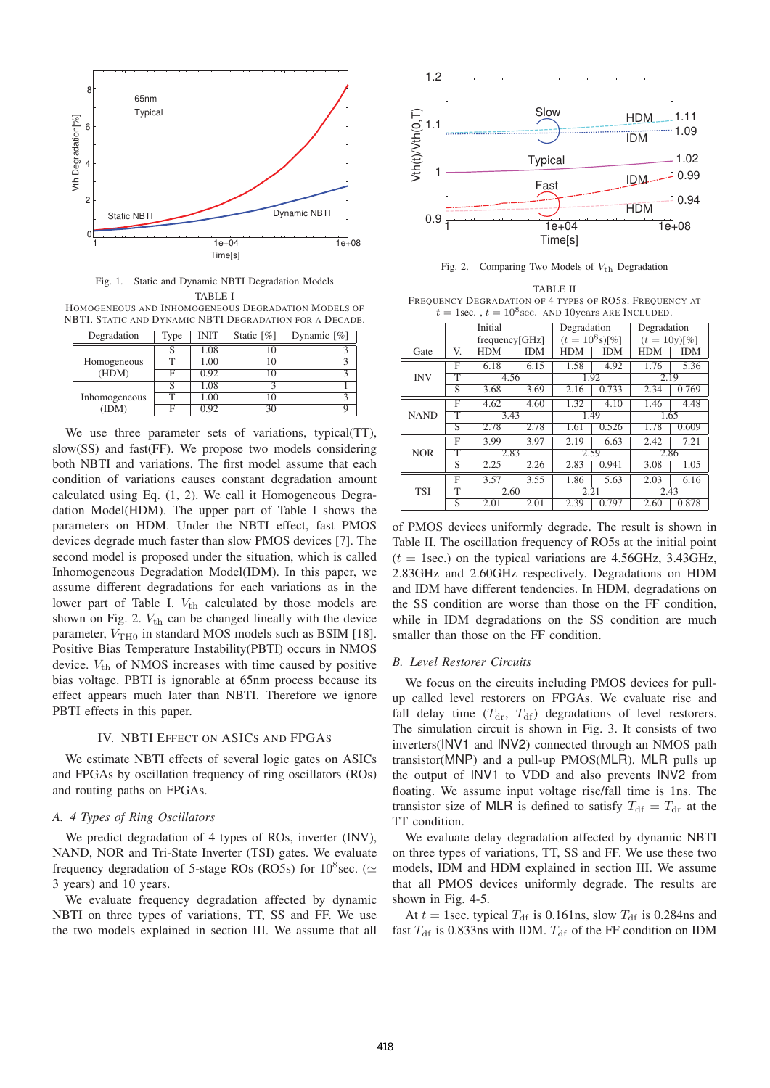

Fig. 1. Static and Dynamic NBTI Degradation Models TABLE I

HOMOGENEOUS AND INHOMOGENEOUS DEGRADATION MODELS OF NBTI. STATIC AND DYNAMIC NBTI DEGRADATION FOR A DECADE.

| Degradation   | Type | <b>INIT</b> | Static $[\%]$ | Dynamic $\sqrt{\frac{6}{6}}$ |
|---------------|------|-------------|---------------|------------------------------|
|               |      | 1.08        | 10            |                              |
| Homogeneous   |      | 1.00        | 10            |                              |
| (HDM)         | F    | 0.92        | 10            |                              |
|               | S    | 1.08        |               |                              |
| Inhomogeneous | т    | 1.00        | 10            |                              |
| (IDM)         | F    | 0.92        | 30            |                              |

We use three parameter sets of variations, typical(TT), slow(SS) and fast(FF). We propose two models considering both NBTI and variations. The first model assume that each condition of variations causes constant degradation amount calculated using Eq. (1, 2). We call it Homogeneous Degradation Model(HDM). The upper part of Table I shows the parameters on HDM. Under the NBTI effect, fast PMOS devices degrade much faster than slow PMOS devices [7]. The second model is proposed under the situation, which is called Inhomogeneous Degradation Model(IDM). In this paper, we assume different degradations for each variations as in the lower part of Table I.  $V_{th}$  calculated by those models are shown on Fig. 2.  $V_{\text{th}}$  can be changed lineally with the device parameter,  $V_{\text{TH}0}$  in standard MOS models such as BSIM [18]. Positive Bias Temperature Instability(PBTI) occurs in NMOS device.  $V_{\text{th}}$  of NMOS increases with time caused by positive bias voltage. PBTI is ignorable at 65nm process because its effect appears much later than NBTI. Therefore we ignore PBTI effects in this paper.

## IV. NBTI EFFECT ON ASICS AND FPGAS

We estimate NBTI effects of several logic gates on ASICs and FPGAs by oscillation frequency of ring oscillators (ROs) and routing paths on FPGAs.

# *A. 4 Types of Ring Oscillators*

We predict degradation of 4 types of ROs, inverter (INV), NAND, NOR and Tri-State Inverter (TSI) gates. We evaluate frequency degradation of 5-stage ROs (RO5s) for  $10^8$  sec. ( $\simeq$  3 years) and 10 years 3 years) and 10 years.

We evaluate frequency degradation affected by dynamic NBTI on three types of variations, TT, SS and FF. We use the two models explained in section III. We assume that all



Fig. 2. Comparing Two Models of  $V_{\text{th}}$  Degradation

TABLE II FREQUENCY DEGRADATION OF 4 TYPES OF RO5S. FREQUENCY AT  $t = 1$ sec.,  $t = 10^8$ sec. AND 10years ARE INCLUDED.

|             |                         | Initial        |            | Degradation     |            | Degradation    |       |
|-------------|-------------------------|----------------|------------|-----------------|------------|----------------|-------|
|             |                         | frequency[GHz] |            | $(t=10^8 s)[%]$ |            | $(t = 10y)[%]$ |       |
| Gate        | V.                      | <b>HDM</b>     | <b>IDM</b> | HDM             | <b>IDM</b> | HDM            | IDM   |
|             | F                       | 6.18           | 6.15       | 1.58            | 4.92       | 1.76           | 5.36  |
| <b>INV</b>  | т                       | 4.56           |            | 1.92            |            | 2.19           |       |
|             | S                       | 3.68           | 3.69       | 2.16            | 0.733      | 2.34           | 0.769 |
| <b>NAND</b> | F                       | 4.62           | 4.60       | 1.32            | 4.10       | 1.46           | 4.48  |
|             | т                       | 3.43           |            | 1.49            |            | 1.65           |       |
|             | S                       | 2.78           | 2.78       | 1.61            | 0.526      | 1.78           | 0.609 |
| <b>NOR</b>  | F                       | 3.99           | 3.97       | 2.19            | 6.63       | 2.42           | 7.21  |
|             | т                       | 2.83           |            | 2.59            |            | 2.86           |       |
|             | S                       | 2.25           | 2.26       | 2.83            | 0.941      | 3.08           | 1.05  |
| <b>TSI</b>  | F                       | 3.57           | 3.55       | 1.86            | 5.63       | 2.03           | 6.16  |
|             | т                       | 2.60           |            | 2.21            |            | 2.43           |       |
|             | $\overline{\mathbf{S}}$ | 2.01           | 2.01       | 2.39            | 0.797      | 2.60           | 0.878 |

of PMOS devices uniformly degrade. The result is shown in Table II. The oscillation frequency of RO5s at the initial point  $(t = 1$ sec.) on the typical variations are 4.56GHz, 3.43GHz, 2.83GHz and 2.60GHz respectively. Degradations on HDM and IDM have different tendencies. In HDM, degradations on the SS condition are worse than those on the FF condition, while in IDM degradations on the SS condition are much smaller than those on the FF condition.

## *B. Level Restorer Circuits*

We focus on the circuits including PMOS devices for pullup called level restorers on FPGAs. We evaluate rise and fall delay time  $(T_{dr}, T_{df})$  degradations of level restorers. The simulation circuit is shown in Fig. 3. It consists of two inverters(INV1 and INV2) connected through an NMOS path transistor(MNP) and a pull-up PMOS(MLR). MLR pulls up the output of INV1 to VDD and also prevents INV2 from floating. We assume input voltage rise/fall time is 1ns. The transistor size of MLR is defined to satisfy  $T_{df} = T_{dr}$  at the TT condition.

We evaluate delay degradation affected by dynamic NBTI on three types of variations, TT, SS and FF. We use these two models, IDM and HDM explained in section III. We assume that all PMOS devices uniformly degrade. The results are shown in Fig. 4-5.

At  $t = 1$  sec. typical  $T_{df}$  is 0.161ns, slow  $T_{df}$  is 0.284ns and fast  $T_{\text{df}}$  is 0.833ns with IDM.  $T_{\text{df}}$  of the FF condition on IDM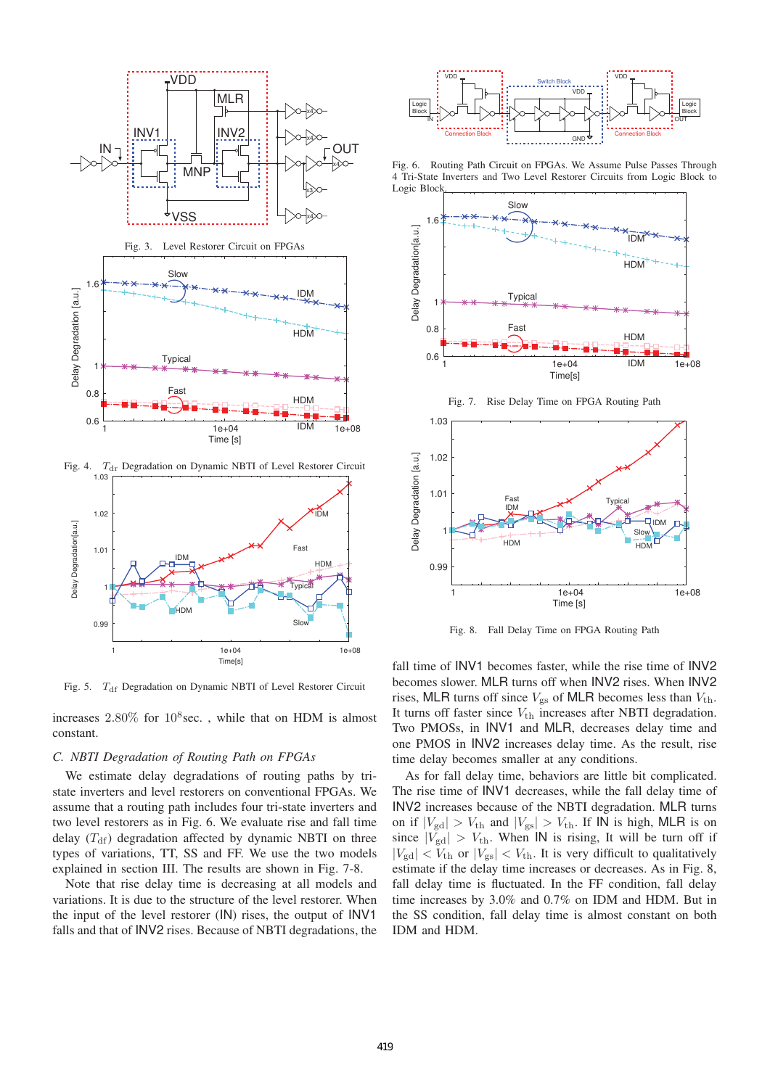

Fig. 5. T<sub>df</sub> Degradation on Dynamic NBTI of Level Restorer Circuit

increases  $2.80\%$  for  $10^8$  sec., while that on HDM is almost constant.

## *C. NBTI Degradation of Routing Path on FPGAs*

We estimate delay degradations of routing paths by tristate inverters and level restorers on conventional FPGAs. We assume that a routing path includes four tri-state inverters and two level restorers as in Fig. 6. We evaluate rise and fall time delay  $(T<sub>df</sub>)$  degradation affected by dynamic NBTI on three types of variations, TT, SS and FF. We use the two models explained in section III. The results are shown in Fig. 7-8.

Note that rise delay time is decreasing at all models and variations. It is due to the structure of the level restorer. When the input of the level restorer (IN) rises, the output of INV1 falls and that of INV2 rises. Because of NBTI degradations, the



Fig. 6. Routing Path Circuit on FPGAs. We Assume Pulse Passes Through 4 Tri-State Inverters and Two Level Restorer Circuits from Logic Block to Logic Bloc



Fig. 8. Fall Delay Time on FPGA Routing Path

1 1 1e+04 1e+08

Time [s]

fall time of INV1 becomes faster, while the rise time of INV2 becomes slower. MLR turns off when INV2 rises. When INV2 rises, MLR turns off since  $V_{gs}$  of MLR becomes less than  $V_{th}$ . It turns off faster since  $V_{\text{th}}$  increases after NBTI degradation. Two PMOSs, in INV1 and MLR, decreases delay time and one PMOS in INV2 increases delay time. As the result, rise time delay becomes smaller at any conditions.

As for fall delay time, behaviors are little bit complicated. The rise time of INV1 decreases, while the fall delay time of INV2 increases because of the NBTI degradation. MLR turns on if  $|V_{\text{gd}}| > V_{\text{th}}$  and  $|V_{\text{gs}}| > V_{\text{th}}$ . If IN is high, MLR is on since  $|V_{\text{gd}}| > V_{\text{th}}$ . When IN is rising, It will be turn off if  $|V_{\text{gd}}| < V_{\text{th}}$  or  $|V_{\text{gs}}| < V_{\text{th}}$ . It is very difficult to qualitatively estimate if the delay time increases or decreases. As in Fig. 8, fall delay time is fluctuated. In the FF condition, fall delay time increases by 3.0% and 0.7% on IDM and HDM. But in the SS condition, fall delay time is almost constant on both IDM and HDM.